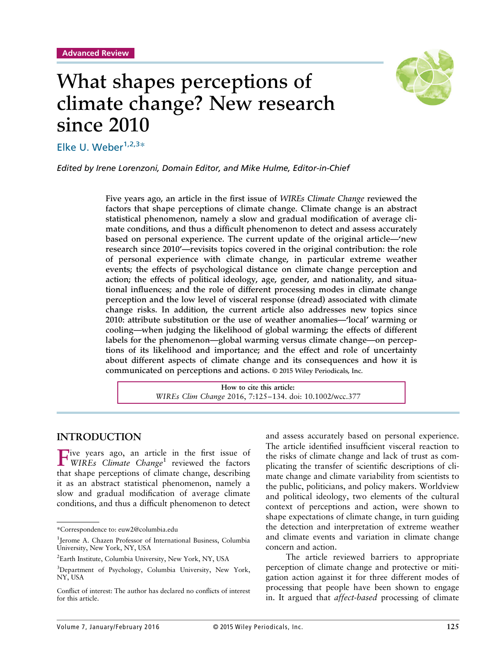

# What shapes perceptions of climate change? New research since 2010

Elke U. Weber $1,2,3*$ 

*Edited by Irene Lorenzoni, Domain Editor, and Mike Hulme, Editor-in-Chief*

Five years ago, an article in the first issue of *WIREs Climate Change* reviewed the factors that shape perceptions of climate change. Climate change is an abstract statistical phenomenon, namely a slow and gradual modification of average climate conditions, and thus a difficult phenomenon to detect and assess accurately based on personal experience. The current update of the original article—'new research since 2010'—revisits topics covered in the original contribution: the role of personal experience with climate change, in particular extreme weather events; the effects of psychological distance on climate change perception and action; the effects of political ideology, age, gender, and nationality, and situational influences; and the role of different processing modes in climate change perception and the low level of visceral response (dread) associated with climate change risks. In addition, the current article also addresses new topics since 2010: attribute substitution or the use of weather anomalies—'local' warming or cooling—when judging the likelihood of global warming; the effects of different labels for the phenomenon—global warming versus climate change—on perceptions of its likelihood and importance; and the effect and role of uncertainty about different aspects of climate change and its consequences and how it is communicated on perceptions and actions. © 2015 Wiley Periodicals, Inc.

> **How to cite this article:** *WIREs Clim Change* 2016, 7:125–134. doi: 10.1002/wcc.377

#### **INTRODUCTION**

Five years ago, an article in the first issue of *WIREs Climate Change*<sup>1</sup> reviewed the factors that shape perceptions of climate change, describing it as an abstract statistical phenomenon, namely a slow and gradual modification of average climate conditions, and thus a difficult phenomenon to detect

and assess accurately based on personal experience. The article identified insufficient visceral reaction to the risks of climate change and lack of trust as complicating the transfer of scientific descriptions of climate change and climate variability from scientists to the public, politicians, and policy makers. Worldview and political ideology, two elements of the cultural context of perceptions and action, were shown to shape expectations of climate change, in turn guiding the detection and interpretation of extreme weather and climate events and variation in climate change concern and action.

The article reviewed barriers to appropriate perception of climate change and protective or mitigation action against it for three different modes of processing that people have been shown to engage in. It argued that *affect-based* processing of climate

<sup>\*</sup>Correspondence to: euw2@columbia.edu

<sup>&</sup>lt;sup>1</sup>Jerome A. Chazen Professor of International Business, Columbia University, New York, NY, USA

<sup>&</sup>lt;sup>2</sup>Earth Institute, Columbia University, New York, NY, USA

<sup>3</sup> Department of Psychology, Columbia University, New York, NY, USA

Conflict of interest: The author has declared no conflicts of interest for this article.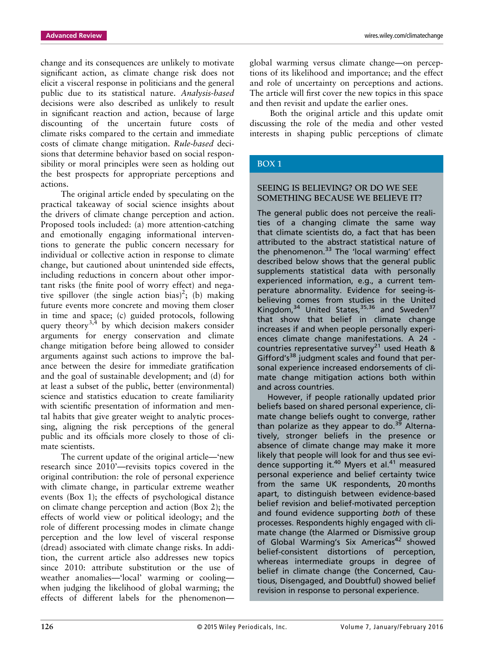change and its consequences are unlikely to motivate significant action, as climate change risk does not elicit a visceral response in politicians and the general public due to its statistical nature. *Analysis-based* decisions were also described as unlikely to result in significant reaction and action, because of large discounting of the uncertain future costs of climate risks compared to the certain and immediate costs of climate change mitigation. *Rule-based* decisions that determine behavior based on social responsibility or moral principles were seen as holding out the best prospects for appropriate perceptions and actions.

The original article ended by speculating on the practical takeaway of social science insights about the drivers of climate change perception and action. Proposed tools included: (a) more attention-catching and emotionally engaging informational interventions to generate the public concern necessary for individual or collective action in response to climate change, but cautioned about unintended side effects, including reductions in concern about other important risks (the finite pool of worry effect) and negative spillover (the single action bias)<sup>2</sup>; (b) making future events more concrete and moving them closer in time and space; (c) guided protocols, following query theory<sup>3,4</sup> by which decision makers consider arguments for energy conservation and climate change mitigation before being allowed to consider arguments against such actions to improve the balance between the desire for immediate gratification and the goal of sustainable development; and (d) for at least a subset of the public, better (environmental) science and statistics education to create familiarity with scientific presentation of information and mental habits that give greater weight to analytic processing, aligning the risk perceptions of the general public and its officials more closely to those of climate scientists.

The current update of the original article—'new research since 2010'—revisits topics covered in the original contribution: the role of personal experience with climate change, in particular extreme weather events (Box 1); the effects of psychological distance on climate change perception and action (Box 2); the effects of world view or political ideology; and the role of different processing modes in climate change perception and the low level of visceral response (dread) associated with climate change risks. In addition, the current article also addresses new topics since 2010: attribute substitution or the use of weather anomalies—'local' warming or cooling when judging the likelihood of global warming; the effects of different labels for the phenomenonglobal warming versus climate change—on perceptions of its likelihood and importance; and the effect and role of uncertainty on perceptions and actions. The article will first cover the new topics in this space and then revisit and update the earlier ones.

Both the original article and this update omit discussing the role of the media and other vested interests in shaping public perceptions of climate

#### BOX 1

#### SEEING IS BELIEVING? OR DO WE SEE SOMETHING BECAUSE WE BELIEVE IT?

The general public does not perceive the realities of a changing climate the same way that climate scientists do, a fact that has been attributed to the abstract statistical nature of the phenomenon. $33$  The 'local warming' effect described below shows that the general public supplements statistical data with personally experienced information, e.g., a current temperature abnormality. Evidence for seeing-isbelieving comes from studies in the United Kingdom, $34$  United States,  $35,36$  and Sweden<sup>37</sup> that show that belief in climate change increases if and when people personally experiences climate change manifestations. A 24 countries representative survey<sup>21</sup> used Heath & Gifford's<sup>38</sup> judgment scales and found that personal experience increased endorsements of climate change mitigation actions both within and across countries.

However, if people rationally updated prior beliefs based on shared personal experience, climate change beliefs ought to converge, rather than polarize as they appear to do. $39$  Alternatively, stronger beliefs in the presence or absence of climate change may make it more likely that people will look for and thus see evidence supporting it.40 Myers et al.<sup>41</sup> measured personal experience and belief certainty twice from the same UK respondents, 20 months apart, to distinguish between evidence-based belief revision and belief-motivated perception and found evidence supporting *both* of these processes. Respondents highly engaged with climate change (the Alarmed or Dismissive group of Global Warming's Six Americas<sup>42</sup> showed belief-consistent distortions of perception, whereas intermediate groups in degree of belief in climate change (the Concerned, Cautious, Disengaged, and Doubtful) showed belief revision in response to personal experience.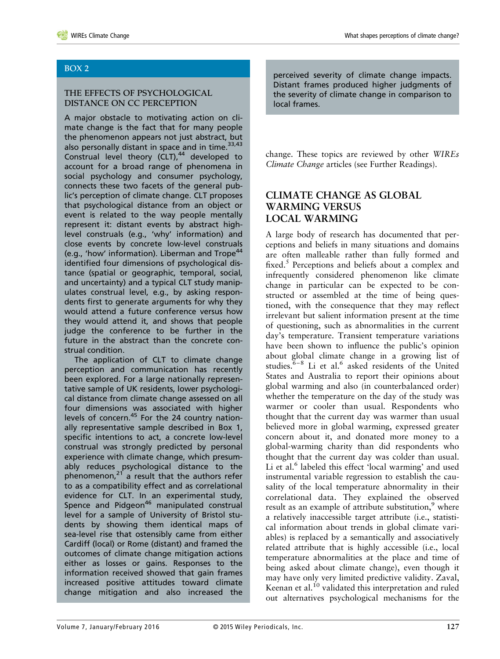#### BOX 2

#### THE EFFECTS OF PSYCHOLOGICAL DISTANCE ON CC PERCEPTION

A major obstacle to motivating action on climate change is the fact that for many people the phenomenon appears not just abstract, but also personally distant in space and in time.<sup>33,43</sup> Construal level theory (CLT), $44$  developed to account for a broad range of phenomena in social psychology and consumer psychology, connects these two facets of the general public's perception of climate change. CLT proposes that psychological distance from an object or event is related to the way people mentally represent it: distant events by abstract highlevel construals (e.g., 'why' information) and close events by concrete low-level construals (e.g., 'how' information). Liberman and Trope<sup>44</sup> identified four dimensions of psychological distance (spatial or geographic, temporal, social, and uncertainty) and a typical CLT study manipulates construal level, e.g., by asking respondents first to generate arguments for why they would attend a future conference versus how they would attend it, and shows that people judge the conference to be further in the future in the abstract than the concrete construal condition.

The application of CLT to climate change perception and communication has recently been explored. For a large nationally representative sample of UK residents, lower psychological distance from climate change assessed on all four dimensions was associated with higher levels of concern.<sup>45</sup> For the 24 country nationally representative sample described in Box 1, specific intentions to act, a concrete low-level construal was strongly predicted by personal experience with climate change, which presumably reduces psychological distance to the phenomenon, $21$  a result that the authors refer to as a compatibility effect and as correlational evidence for CLT. In an experimental study, Spence and Pidgeon<sup>46</sup> manipulated construal level for a sample of University of Bristol students by showing them identical maps of sea-level rise that ostensibly came from either Cardiff (local) or Rome (distant) and framed the outcomes of climate change mitigation actions either as losses or gains. Responses to the information received showed that gain frames increased positive attitudes toward climate change mitigation and also increased the perceived severity of climate change impacts. Distant frames produced higher judgments of the severity of climate change in comparison to local frames.

change. These topics are reviewed by other *WIREs Climate Change* articles (see Further Readings).

# **CLIMATE CHANGE AS GLOBAL WARMING VERSUS LOCAL WARMING**

A large body of research has documented that perceptions and beliefs in many situations and domains are often malleable rather than fully formed and fixed. $5$  Perceptions and beliefs about a complex and infrequently considered phenomenon like climate change in particular can be expected to be constructed or assembled at the time of being questioned, with the consequence that they may reflect irrelevant but salient information present at the time of questioning, such as abnormalities in the current day's temperature. Transient temperature variations have been shown to influence the public's opinion about global climate change in a growing list of studies. $6-8$  Li et al.<sup>6</sup> asked residents of the United States and Australia to report their opinions about global warming and also (in counterbalanced order) whether the temperature on the day of the study was warmer or cooler than usual. Respondents who thought that the current day was warmer than usual believed more in global warming, expressed greater concern about it, and donated more money to a global-warming charity than did respondents who thought that the current day was colder than usual. Li et al.<sup>6</sup> labeled this effect 'local warming' and used instrumental variable regression to establish the causality of the local temperature abnormality in their correlational data. They explained the observed result as an example of attribute substitution, $9$  where a relatively inaccessible target attribute (i.e., statistical information about trends in global climate variables) is replaced by a semantically and associatively related attribute that is highly accessible (i.e., local temperature abnormalities at the place and time of being asked about climate change), even though it may have only very limited predictive validity. Zaval, Keenan et al.<sup>10</sup> validated this interpretation and ruled out alternatives psychological mechanisms for the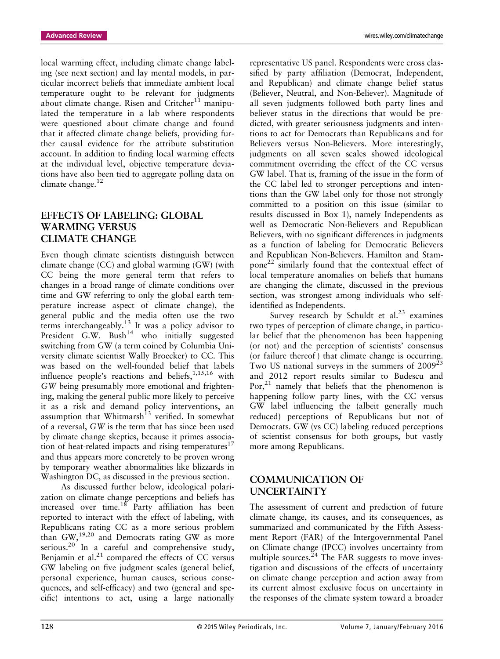local warming effect, including climate change labeling (see next section) and lay mental models, in particular incorrect beliefs that immediate ambient local temperature ought to be relevant for judgments about climate change. Risen and Critcher<sup>11</sup> manipulated the temperature in a lab where respondents were questioned about climate change and found that it affected climate change beliefs, providing further causal evidence for the attribute substitution account. In addition to finding local warming effects at the individual level, objective temperature deviations have also been tied to aggregate polling data on climate change.<sup>12</sup>

# **EFFECTS OF LABELING: GLOBAL WARMING VERSUS CLIMATE CHANGE**

Even though climate scientists distinguish between climate change (CC) and global warming (GW) (with CC being the more general term that refers to changes in a broad range of climate conditions over time and GW referring to only the global earth temperature increase aspect of climate change), the general public and the media often use the two terms interchangeably.<sup>13</sup> It was a policy advisor to President G.W. Bush<sup>14</sup> who initially suggested switching from GW (a term coined by Columbia University climate scientist Wally Broecker) to CC. This was based on the well-founded belief that labels influence people's reactions and beliefs,  $1,15,16$  with *GW* being presumably more emotional and frightening, making the general public more likely to perceive it as a risk and demand policy interventions, an assumption that Whitmarsh<sup>13</sup> verified. In somewhat of a reversal, *GW* is the term that has since been used by climate change skeptics, because it primes association of heat-related impacts and rising temperatures<sup>17</sup> and thus appears more concretely to be proven wrong by temporary weather abnormalities like blizzards in Washington DC, as discussed in the previous section.

As discussed further below, ideological polarization on climate change perceptions and beliefs has increased over time.<sup>18</sup> Party affiliation has been reported to interact with the effect of labeling, with Republicans rating CC as a more serious problem than GW,19,20 and Democrats rating GW as more serious.<sup>20</sup> In a careful and comprehensive study, Benjamin et al. $^{21}$  compared the effects of CC versus GW labeling on five judgment scales (general belief, personal experience, human causes, serious consequences, and self-efficacy) and two (general and specific) intentions to act, using a large nationally

representative US panel. Respondents were cross classified by party affiliation (Democrat, Independent, and Republican) and climate change belief status (Believer, Neutral, and Non-Believer). Magnitude of all seven judgments followed both party lines and believer status in the directions that would be predicted, with greater seriousness judgments and intentions to act for Democrats than Republicans and for Believers versus Non-Believers. More interestingly, judgments on all seven scales showed ideological commitment overriding the effect of the CC versus GW label. That is, framing of the issue in the form of the CC label led to stronger perceptions and intentions than the GW label only for those not strongly committed to a position on this issue (similar to results discussed in Box 1), namely Independents as well as Democratic Non-Believers and Republican Believers, with no significant differences in judgments as a function of labeling for Democratic Believers and Republican Non-Believers. Hamilton and Stampone<sup>22</sup> similarly found that the contextual effect of local temperature anomalies on beliefs that humans are changing the climate, discussed in the previous section, was strongest among individuals who selfidentified as Independents.

Survey research by Schuldt et al. $^{23}$  examines two types of perception of climate change, in particular belief that the phenomenon has been happening (or not) and the perception of scientists' consensus (or failure thereof ) that climate change is occurring. Two US national surveys in the summers of  $2009^{23}$ and 2012 report results similar to Budescu and Por, $21$  namely that beliefs that the phenomenon is happening follow party lines, with the CC versus GW label influencing the (albeit generally much reduced) perceptions of Republicans but not of Democrats. GW (vs CC) labeling reduced perceptions of scientist consensus for both groups, but vastly more among Republicans.

# **COMMUNICATION OF UNCERTAINTY**

The assessment of current and prediction of future climate change, its causes, and its consequences, as summarized and communicated by the Fifth Assessment Report (FAR) of the Intergovernmental Panel on Climate change (IPCC) involves uncertainty from multiple sources. $^{24}$  The FAR suggests to move investigation and discussions of the effects of uncertainty on climate change perception and action away from its current almost exclusive focus on uncertainty in the responses of the climate system toward a broader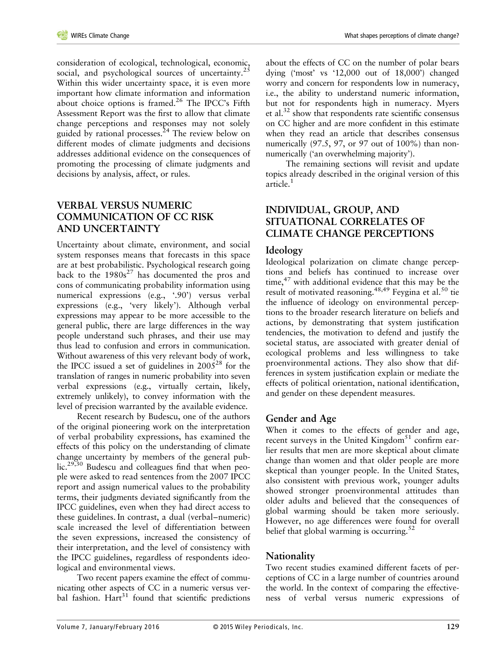consideration of ecological, technological, economic, social, and psychological sources of uncertainty.<sup>25</sup> Within this wider uncertainty space, it is even more important how climate information and information about choice options is framed. $26$  The IPCC's Fifth Assessment Report was the first to allow that climate change perceptions and responses may not solely guided by rational processes. $24$  The review below on different modes of climate judgments and decisions addresses additional evidence on the consequences of promoting the processing of climate judgments and decisions by analysis, affect, or rules.

## **VERBAL VERSUS NUMERIC COMMUNICATION OF CC RISK AND UNCERTAINTY**

Uncertainty about climate, environment, and social system responses means that forecasts in this space are at best probabilistic. Psychological research going back to the  $1980s^{27}$  has documented the pros and cons of communicating probability information using numerical expressions (e.g., '.90') versus verbal expressions (e.g., 'very likely'). Although verbal expressions may appear to be more accessible to the general public, there are large differences in the way people understand such phrases, and their use may thus lead to confusion and errors in communication. Without awareness of this very relevant body of work, the IPCC issued a set of guidelines in  $2005^{28}$  for the translation of ranges in numeric probability into seven verbal expressions (e.g., virtually certain, likely, extremely unlikely), to convey information with the level of precision warranted by the available evidence.

Recent research by Budescu, one of the authors of the original pioneering work on the interpretation of verbal probability expressions, has examined the effects of this policy on the understanding of climate change uncertainty by members of the general public.<sup>29,30</sup> Budescu and colleagues find that when people were asked to read sentences from the 2007 IPCC report and assign numerical values to the probability terms, their judgments deviated significantly from the IPCC guidelines, even when they had direct access to these guidelines. In contrast, a dual (verbal–numeric) scale increased the level of differentiation between the seven expressions, increased the consistency of their interpretation, and the level of consistency with the IPCC guidelines, regardless of respondents ideological and environmental views.

Two recent papers examine the effect of communicating other aspects of CC in a numeric versus verbal fashion.  $Hart^{31}$  found that scientific predictions about the effects of CC on the number of polar bears dying ('most' vs '12,000 out of 18,000') changed worry and concern for respondents low in numeracy, i.e., the ability to understand numeric information, but not for respondents high in numeracy. Myers et al.<sup>32</sup> show that respondents rate scientific consensus on CC higher and are more confident in this estimate when they read an article that describes consensus numerically (97.5, 97, or 97 out of 100%) than nonnumerically ('an overwhelming majority').

The remaining sections will revisit and update topics already described in the original version of this article.<sup>1</sup>

## **INDIVIDUAL, GROUP, AND SITUATIONAL CORRELATES OF CLIMATE CHANGE PERCEPTIONS**

## **Ideology**

Ideological polarization on climate change perceptions and beliefs has continued to increase over time, $47$  with additional evidence that this may be the result of motivated reasoning. $48,49$  Feygina et al. $50$  tie the influence of ideology on environmental perceptions to the broader research literature on beliefs and actions, by demonstrating that system justification tendencies, the motivation to defend and justify the societal status, are associated with greater denial of ecological problems and less willingness to take proenvironmental actions. They also show that differences in system justification explain or mediate the effects of political orientation, national identification, and gender on these dependent measures.

## **Gender and Age**

When it comes to the effects of gender and age, recent surveys in the United Kingdom $51$  confirm earlier results that men are more skeptical about climate change than women and that older people are more skeptical than younger people. In the United States, also consistent with previous work, younger adults showed stronger proenvironmental attitudes than older adults and believed that the consequences of global warming should be taken more seriously. However, no age differences were found for overall belief that global warming is occurring. $52$ 

## **Nationality**

Two recent studies examined different facets of perceptions of CC in a large number of countries around the world. In the context of comparing the effectiveness of verbal versus numeric expressions of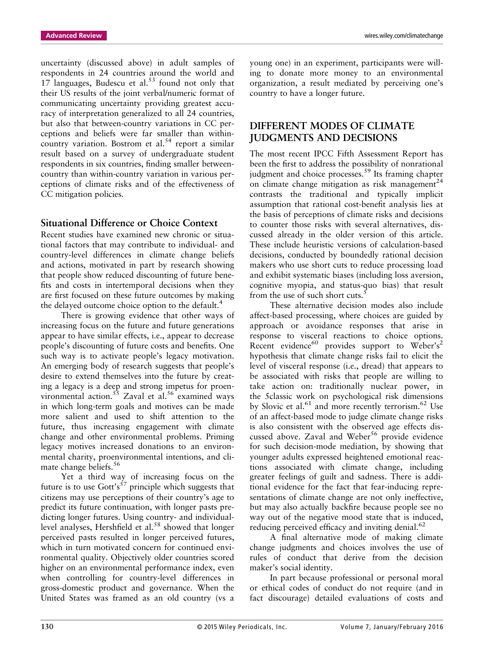uncertainty (discussed above) in adult samples of respondents in 24 countries around the world and  $17$  languages, Budescu et al.<sup>53</sup> found not only that their US results of the joint verbal/numeric format of communicating uncertainty providing greatest accuracy of interpretation generalized to all 24 countries, but also that between-country variations in CC perceptions and beliefs were far smaller than withincountry variation. Bostrom et al. $54$  report a similar result based on a survey of undergraduate student respondents in six countries, finding smaller betweencountry than within-country variation in various perceptions of climate risks and of the effectiveness of CC mitigation policies.

#### **Situational Difference or Choice Context**

Recent studies have examined new chronic or situational factors that may contribute to individual- and country-level differences in climate change beliefs and actions, motivated in part by research showing that people show reduced discounting of future benefits and costs in intertemporal decisions when they are first focused on these future outcomes by making the delayed outcome choice option to the default.<sup>4</sup>

There is growing evidence that other ways of increasing focus on the future and future generations appear to have similar effects, i.e., appear to decrease people's discounting of future costs and benefits. One such way is to activate people's legacy motivation. An emerging body of research suggests that people's desire to extend themselves into the future by creating a legacy is a deep and strong impetus for proenvironmental action.<sup>55</sup> Zaval et al.<sup>56</sup> examined ways in which long-term goals and motives can be made more salient and used to shift attention to the future, thus increasing engagement with climate change and other environmental problems. Priming legacy motives increased donations to an environmental charity, proenvironmental intentions, and climate change beliefs.<sup>56</sup>

Yet a third way of increasing focus on the future is to use Gott's<sup>57</sup> principle which suggests that citizens may use perceptions of their country's age to predict its future continuation, with longer pasts predicting longer futures. Using country- and individuallevel analyses, Hershfield et al.<sup>58</sup> showed that longer perceived pasts resulted in longer perceived futures, which in turn motivated concern for continued environmental quality. Objectively older countries scored higher on an environmental performance index, even when controlling for country-level differences in gross-domestic product and governance. When the United States was framed as an old country (vs a young one) in an experiment, participants were willing to donate more money to an environmental organization, a result mediated by perceiving one's country to have a longer future.

# **DIFFERENT MODES OF CLIMATE JUDGMENTS AND DECISIONS**

The most recent IPCC Fifth Assessment Report has been the first to address the possibility of nonrational judgment and choice processes.<sup>59</sup> Its framing chapter on climate change mitigation as risk management<sup>24</sup> contrasts the traditional and typically implicit assumption that rational cost-benefit analysis lies at the basis of perceptions of climate risks and decisions to counter those risks with several alternatives, discussed already in the older version of this article. These include heuristic versions of calculation-based decisions, conducted by boundedly rational decision makers who use short cuts to reduce processing load and exhibit systematic biases (including loss aversion, cognitive myopia, and status-quo bias) that result from the use of such short cuts.<sup>5</sup>

These alternative decision modes also include affect-based processing, where choices are guided by approach or avoidance responses that arise in response to visceral reactions to choice options. Recent evidence<sup>60</sup> provides support to Weber's<sup>2</sup> hypothesis that climate change risks fail to elicit the level of visceral response (i.e., dread) that appears to be associated with risks that people are willing to take action on: traditionally nuclear power, in the 5classic work on psychological risk dimensions by Slovic et al.<sup>61</sup> and more recently terrorism.<sup>62</sup> Use of an affect-based mode to judge climate change risks is also consistent with the observed age effects discussed above. Zaval and Weber<sup>56</sup> provide evidence for such decision-mode mediation, by showing that younger adults expressed heightened emotional reactions associated with climate change, including greater feelings of guilt and sadness. There is additional evidence for the fact that fear-inducing representations of climate change are not only ineffective, but may also actually backfire because people see no way out of the negative mood state that is induced, reducing perceived efficacy and inviting denial.<sup>62</sup>

A final alternative mode of making climate change judgments and choices involves the use of rules of conduct that derive from the decision maker's social identity.

In part because professional or personal moral or ethical codes of conduct do not require (and in fact discourage) detailed evaluations of costs and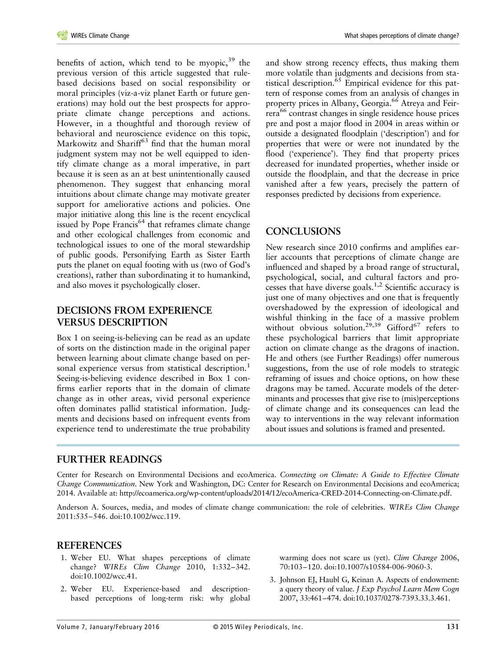benefits of action, which tend to be myopic,  $39$  the previous version of this article suggested that rulebased decisions based on social responsibility or moral principles (viz-a-viz planet Earth or future generations) may hold out the best prospects for appropriate climate change perceptions and actions. However, in a thoughtful and thorough review of behavioral and neuroscience evidence on this topic, Markowitz and Shariff<sup>63</sup> find that the human moral judgment system may not be well equipped to identify climate change as a moral imperative, in part because it is seen as an at best unintentionally caused phenomenon. They suggest that enhancing moral intuitions about climate change may motivate greater support for ameliorative actions and policies. One major initiative along this line is the recent encyclical issued by Pope Francis<sup>64</sup> that reframes climate change and other ecological challenges from economic and technological issues to one of the moral stewardship of public goods. Personifying Earth as Sister Earth puts the planet on equal footing with us (two of God's creations), rather than subordinating it to humankind, and also moves it psychologically closer.

#### **DECISIONS FROM EXPERIENCE VERSUS DESCRIPTION**

Box 1 on seeing-is-believing can be read as an update of sorts on the distinction made in the original paper between learning about climate change based on personal experience versus from statistical description.<sup>1</sup> Seeing-is-believing evidence described in Box 1 confirms earlier reports that in the domain of climate change as in other areas, vivid personal experience often dominates pallid statistical information. Judgments and decisions based on infrequent events from experience tend to underestimate the true probability

and show strong recency effects, thus making them more volatile than judgments and decisions from statistical description.65 Empirical evidence for this pattern of response comes from an analysis of changes in property prices in Albany, Georgia.66 Atreya and Feirrera<sup>66</sup> contrast changes in single residence house prices pre and post a major flood in 2004 in areas within or outside a designated floodplain ('description') and for properties that were or were not inundated by the flood ('experience'). They find that property prices decreased for inundated properties, whether inside or outside the floodplain, and that the decrease in price vanished after a few years, precisely the pattern of responses predicted by decisions from experience.

## **CONCLUSIONS**

New research since 2010 confirms and amplifies earlier accounts that perceptions of climate change are influenced and shaped by a broad range of structural, psychological, social, and cultural factors and processes that have diverse goals.1,2 Scientific accuracy is just one of many objectives and one that is frequently overshadowed by the expression of ideological and wishful thinking in the face of a massive problem without obvious solution.<sup>29,39</sup> Gifford<sup>67</sup> refers to these psychological barriers that limit appropriate action on climate change as the dragons of inaction. He and others (see Further Readings) offer numerous suggestions, from the use of role models to strategic reframing of issues and choice options, on how these dragons may be tamed. Accurate models of the determinants and processes that give rise to (mis)perceptions of climate change and its consequences can lead the way to interventions in the way relevant information about issues and solutions is framed and presented.

#### **FURTHER READINGS**

Center for Research on Environmental Decisions and ecoAmerica. *Connecting on Climate: A Guide to Effective Climate Change Communication*. New York and Washington, DC: Center for Research on Environmental Decisions and ecoAmerica; 2014. Available at:<http://ecoamerica.org/wp-content/uploads/2014/12/ecoAmerica-CRED-2014-Connecting-on-Climate.pdf>.

Anderson A. Sources, media, and modes of climate change communication: the role of celebrities. *WIREs Clim Change* 2011:535–546. doi:10.1002/wcc.119.

## **REFERENCES**

- 1. Weber EU. What shapes perceptions of climate change? *WIREs Clim Change* 2010, 1:332–342. doi:10.1002/wcc.41.
- 2. Weber EU. Experience-based and descriptionbased perceptions of long-term risk: why global

warming does not scare us (yet). *Clim Change* 2006, 70:103–120. doi:10.1007/s10584-006-9060-3.

3. Johnson EJ, Haubl G, Keinan A. Aspects of endowment: a query theory of value. *J Exp Psychol Learn Mem Cogn* 2007, 33:461–474. doi:10.1037/0278-7393.33.3.461.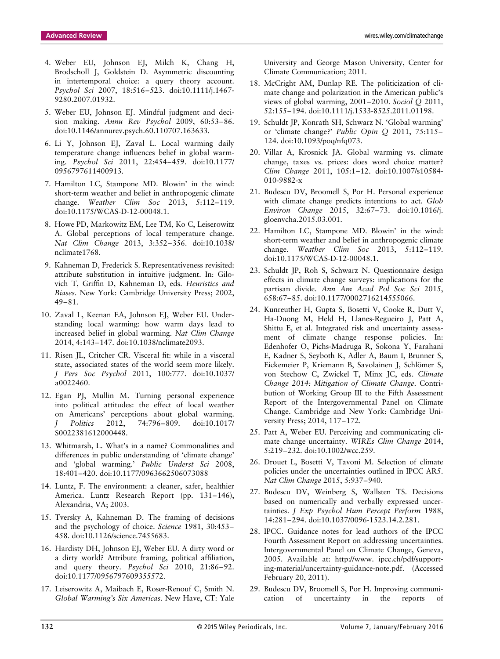- 4. Weber EU, Johnson EJ, Milch K, Chang H, Brodscholl J, Goldstein D. Asymmetric discounting in intertemporal choice: a query theory account. *Psychol Sci* 2007, 18:516–523. doi:10.1111/j.1467- 9280.2007.01932.
- 5. Weber EU, Johnson EJ. Mindful judgment and decision making. *Annu Rev Psychol* 2009, 60:53–86. doi:10.1146/annurev.psych.60.110707.163633.
- 6. Li Y, Johnson EJ, Zaval L. Local warming daily temperature change influences belief in global warming. *Psychol Sci* 2011, 22:454–459. doi:10.1177/ 0956797611400913.
- 7. Hamilton LC, Stampone MD. Blowin' in the wind: short-term weather and belief in anthropogenic climate change. *Weather Clim Soc* 2013, 5:112–119. doi:10.1175/WCAS-D-12-00048.1.
- 8. Howe PD, Markowitz EM, Lee TM, Ko C, Leiserowitz A. Global perceptions of local temperature change. *Nat Clim Change* 2013, 3:352–356. doi:10.1038/ nclimate1768.
- 9. Kahneman D, Frederick S. Representativeness revisited: attribute substitution in intuitive judgment. In: Gilovich T, Griffin D, Kahneman D, eds. *Heuristics and Biases*. New York: Cambridge University Press; 2002, 49–81.
- 10. Zaval L, Keenan EA, Johnson EJ, Weber EU. Understanding local warming: how warm days lead to increased belief in global warming. *Nat Clim Change* 2014, 4:143–147. doi:10.1038/nclimate2093.
- 11. Risen JL, Critcher CR. Visceral fit: while in a visceral state, associated states of the world seem more likely. *J Pers Soc Psychol* 2011, 100:777. doi:10.1037/ a0022460.
- 12. Egan PJ, Mullin M. Turning personal experience into political attitudes: the effect of local weather on Americans' perceptions about global warming. *J Politics* 2012, 74:796–809. doi:10.1017/ S0022381612000448.
- 13. Whitmarsh, L. What's in a name? Commonalities and differences in public understanding of 'climate change' and 'global warming.' *Public Underst Sci* 2008, 18:401–420. doi:10.1177/0963662506073088
- 14. Luntz, F. The environment: a cleaner, safer, healthier America. Luntz Research Report (pp. 131–146), Alexandria, VA; 2003.
- 15. Tversky A, Kahneman D. The framing of decisions and the psychology of choice. *Science* 1981, 30:453– 458. doi:10.1126/science.7455683.
- 16. Hardisty DH, Johnson EJ, Weber EU. A dirty word or a dirty world? Attribute framing, political affiliation, and query theory. *Psychol Sci* 2010, 21:86–92. doi:10.1177/0956797609355572.
- 17. Leiserowitz A, Maibach E, Roser-Renouf C, Smith N. *Global Warming's Six Americas*. New Have, CT: Yale

University and George Mason University, Center for Climate Communication; 2011.

- 18. McCright AM, Dunlap RE. The politicization of climate change and polarization in the American public's views of global warming, 2001–2010. *Sociol Q* 2011, 52:155–194. doi:10.1111/j.1533-8525.2011.01198.
- 19. Schuldt JP, Konrath SH, Schwarz N. 'Global warming' or 'climate change?' *Public Opin Q* 2011, 75:115– 124. doi:10.1093/poq/nfq073.
- 20. Villar A, Krosnick JA. Global warming vs. climate change, taxes vs. prices: does word choice matter? *Clim Change* 2011, 105:1–12. doi:10.1007/s10584- 010-9882-x
- 21. Budescu DV, Broomell S, Por H. Personal experience with climate change predicts intentions to act. *Glob Environ Change* 2015, 32:67–73. doi:10.1016/j. gloenvcha.2015.03.001.
- 22. Hamilton LC, Stampone MD. Blowin' in the wind: short-term weather and belief in anthropogenic climate change. *Weather Clim Soc* 2013, 5:112–119. doi:10.1175/WCAS-D-12-00048.1.
- 23. Schuldt JP, Roh S, Schwarz N. Questionnaire design effects in climate change surveys: implications for the partisan divide. *Ann Am Acad Pol Soc Sci* 2015, 658:67–85. doi:10.1177/0002716214555066.
- 24. Kunreuther H, Gupta S, Bosetti V, Cooke R, Dutt V, Ha-Duong M, Held H, Llanes-Regueiro J, Patt A, Shittu E, et al. Integrated risk and uncertainty assessment of climate change response policies. In: Edenhofer O, Pichs-Madruga R, Sokona Y, Farahani E, Kadner S, Seyboth K, Adler A, Baum I, Brunner S, Eickemeier P, Kriemann B, Savolainen J, Schlömer S, von Stechow C, Zwickel T, Minx JC, eds. *Climate Change 2014: Mitigation of Climate Change*. Contribution of Working Group III to the Fifth Assessment Report of the Intergovernmental Panel on Climate Change. Cambridge and New York: Cambridge University Press; 2014, 117–172.
- 25. Patt A, Weber EU. Perceiving and communicating climate change uncertainty. *WIREs Clim Change* 2014, 5:219–232. doi:10.1002/wcc.259.
- 26. Drouet L, Bosetti V, Tavoni M. Selection of climate policies under the uncertainties outlined in IPCC AR5. *Nat Clim Change* 2015, 5:937–940.
- 27. Budescu DV, Weinberg S, Wallsten TS. Decisions based on numerically and verbally expressed uncertainties. *J Exp Psychol Hum Percept Perform* 1988, 14:281–294. doi:10.1037/0096-1523.14.2.281.
- 28. IPCC. Guidance notes for lead authors of the IPCC Fourth Assessment Report on addressing uncertainties. Intergovernmental Panel on Climate Change, Geneva, 2005. Available at: [http://www. ipcc.ch/pdf/support](http://www. ipcc.ch/pdf/supporting-material/uncertainty-guidance-note.pdf)[ing-material/uncertainty-guidance-note.pdf.](http://www. ipcc.ch/pdf/supporting-material/uncertainty-guidance-note.pdf) (Accessed February 20, 2011).
- 29. Budescu DV, Broomell S, Por H. Improving communication of uncertainty in the reports of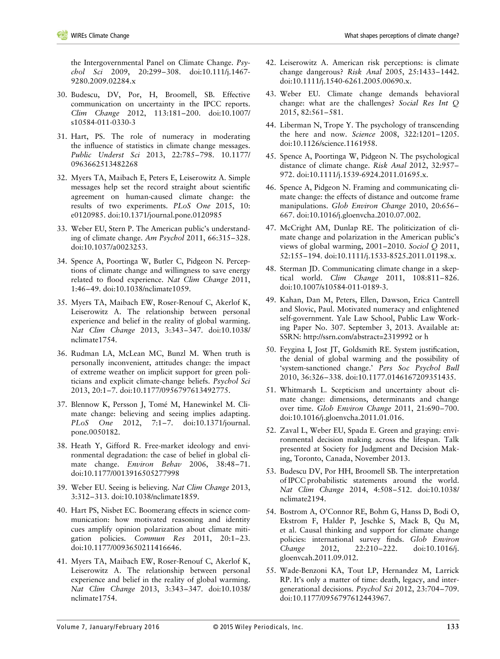the Intergovernmental Panel on Climate Change. *Psychol Sci* 2009, 20:299–308. doi:10.111/j.1467- 9280.2009.02284.x

- 30. Budescu, DV, Por, H, Broomell, SB. Effective communication on uncertainty in the IPCC reports. *Clim Change* 2012, 113:181–200. doi:10.1007/ s10584-011-0330-3
- 31. Hart, PS. The role of numeracy in moderating the influence of statistics in climate change messages. *Public Underst Sci* 2013, 22:785–798. 10.1177/ 0963662513482268
- 32. Myers TA, Maibach E, Peters E, Leiserowitz A. Simple messages help set the record straight about scientific agreement on human-caused climate change: the results of two experiments. *PLoS One* 2015, 10: e0120985. doi:10.1371/journal.pone.0120985
- 33. Weber EU, Stern P. The American public's understanding of climate change. *Am Psychol* 2011, 66:315–328. doi:10.1037/a0023253.
- 34. Spence A, Poortinga W, Butler C, Pidgeon N. Perceptions of climate change and willingness to save energy related to flood experience. *Nat Clim Change* 2011, 1:46–49. doi:10.1038/nclimate1059.
- 35. Myers TA, Maibach EW, Roser-Renouf C, Akerlof K, Leiserowitz A. The relationship between personal experience and belief in the reality of global warming. *Nat Clim Change* 2013, 3:343–347. doi:10.1038/ nclimate1754.
- 36. Rudman LA, McLean MC, Bunzl M. When truth is personally inconvenient, attitudes change: the impact of extreme weather on implicit support for green politicians and explicit climate-change beliefs. *Psychol Sci* 2013, 20:1–7. doi:10.1177/0956797613492775.
- 37. Blennow K, Persson J, Tomé M, Hanewinkel M. Climate change: believing and seeing implies adapting. *PLoS One* 2012, 7:1–7. doi:10.1371/journal. pone.0050182.
- 38. Heath Y, Gifford R. Free-market ideology and environmental degradation: the case of belief in global climate change. *Environ Behav* 2006, 38:48–71. doi:10.1177/0013916505277998
- 39. Weber EU. Seeing is believing. *Nat Clim Change* 2013, 3:312–313. doi:10.1038/nclimate1859.
- 40. Hart PS, Nisbet EC. Boomerang effects in science communication: how motivated reasoning and identity cues amplify opinion polarization about climate mitigation policies. *Commun Res* 2011, 20:1–23. doi:10.1177/0093650211416646.
- 41. Myers TA, Maibach EW, Roser-Renouf C, Akerlof K, Leiserowitz A. The relationship between personal experience and belief in the reality of global warming. *Nat Clim Change* 2013, 3:343–347. doi:10.1038/ nclimate1754.
- 42. Leiserowitz A. American risk perceptions: is climate change dangerous? *Risk Anal* 2005, 25:1433–1442. doi:10.1111/j.1540-6261.2005.00690.x.
- 43. Weber EU. Climate change demands behavioral change: what are the challenges? *Social Res Int Q* 2015, 82:561–581.
- 44. Liberman N, Trope Y. The psychology of transcending the here and now. *Science* 2008, 322:1201–1205. doi:10.1126/science.1161958.
- 45. Spence A, Poortinga W, Pidgeon N. The psychological distance of climate change. *Risk Anal* 2012, 32:957– 972. doi:10.1111/j.1539-6924.2011.01695.x.
- 46. Spence A, Pidgeon N. Framing and communicating climate change: the effects of distance and outcome frame manipulations. *Glob Environ Change* 2010, 20:656– 667. doi:10.1016/j.gloenvcha.2010.07.002.
- 47. McCright AM, Dunlap RE. The politicization of climate change and polarization in the American public's views of global warming, 2001–2010. *Sociol Q* 2011, 52:155–194. doi:10.1111/j.1533-8525.2011.01198.x.
- 48. Sterman JD. Communicating climate change in a skeptical world. *Clim Change* 2011, 108:811–826. doi:10.1007/s10584-011-0189-3.
- 49. Kahan, Dan M, Peters, Ellen, Dawson, Erica Cantrell and Slovic, Paul. Motivated numeracy and enlightened self-government. Yale Law School, Public Law Working Paper No. 307. September 3, 2013. Available at: SSRN:<http://ssrn.com/abstract=2319992 or h>
- 50. Feygina I, Jost JT, Goldsmith RE. System justification, the denial of global warming and the possibility of 'system-sanctioned change.' *Pers Soc Psychol Bull* 2010, 36:326–338. doi:10.1177.0146167209351435.
- 51. Whitmarsh L. Scepticism and uncertainty about climate change: dimensions, determinants and change over time. *Glob Environ Change* 2011, 21:690–700. doi:10.1016/j.gloenvcha.2011.01.016.
- 52. Zaval L, Weber EU, Spada E. Green and graying: environmental decision making across the lifespan. Talk presented at Society for Judgment and Decision Making, Toronto, Canada, November 2013.
- 53. Budescu DV, Por HH, Broomell SB. The interpretation of IPCC probabilistic statements around the world. *Nat Clim Change* 2014, 4:508–512. doi:10.1038/ nclimate2194.
- 54. Bostrom A, O'Connor RE, Bohm G, Hanss D, Bodi O, Ekstrom F, Halder P, Jeschke S, Mack B, Qu M, et al. Causal thinking and support for climate change policies: international survey finds. *Glob Environ Change* 2012, 22:210–222. doi:10.1016/j. gloenvcah.2011.09.012.
- 55. Wade-Benzoni KA, Tout LP, Hernandez M, Larrick RP. It's only a matter of time: death, legacy, and intergenerational decisions. *Psychol Sci* 2012, 23:704–709. doi:10.1177/0956797612443967.